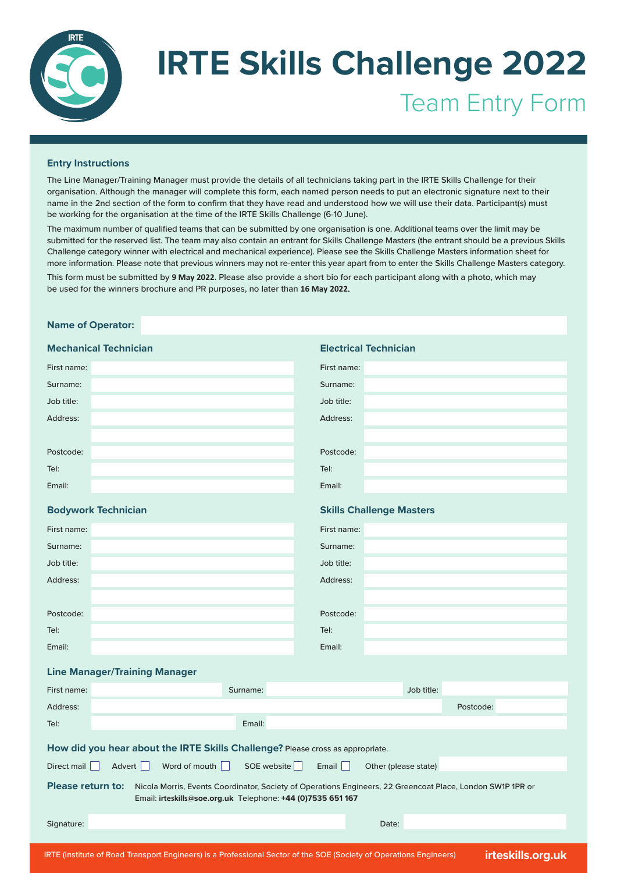

# **IRTE Skills Challenge 2022** Team Entry Form

### **Entry Instructions**

The Line Manager/Training Manager must provide the details of all technicians taking part in the IRTE Skills Challenge for their organisation. Although the manager will complete this form, each named person needs to put an electronic signature next to their name in the 2nd section of the form to confirm that they have read and understood how we will use their data. Participant(s) must be working for the organisation at the time of the IRTE Skills Challenge (6-10 June).

The maximum number of qualified teams that can be submitted by one organisation is one. Additional teams over the limit may be submitted for the reserved list. The team may also contain an entrant for Skills Challenge Masters (the entrant should be a previous Skills Challenge category winner with electrical and mechanical experience). Please see the Skills Challenge Masters information sheet for more information. Please note that previous winners may not re-enter this year apart from to enter the Skills Challenge Masters category.

This form must be submitted by **9 May 2022**. Please also provide a short bio for each participant along with a photo, which may be used for the winners brochure and PR purposes, no later than **16 May 2022**.

### **Name of Operator:**

| <b>Mechanical Technician</b> | <b>Electrical Technician</b>    |  |  |  |  |  |
|------------------------------|---------------------------------|--|--|--|--|--|
| First name:                  | First name:                     |  |  |  |  |  |
| Surname:                     | Surname:                        |  |  |  |  |  |
| Job title:                   | Job title:                      |  |  |  |  |  |
| Address:                     | Address:                        |  |  |  |  |  |
|                              |                                 |  |  |  |  |  |
| Postcode:                    | Postcode:                       |  |  |  |  |  |
| Tel:                         | Tel:                            |  |  |  |  |  |
| Email:                       | Email:                          |  |  |  |  |  |
| <b>Bodywork Technician</b>   |                                 |  |  |  |  |  |
|                              | <b>Skills Challenge Masters</b> |  |  |  |  |  |
| First name:                  | First name:                     |  |  |  |  |  |
| Surname:                     | Surname:                        |  |  |  |  |  |
| Job title:                   | Job title:                      |  |  |  |  |  |
| Address:                     | Address:                        |  |  |  |  |  |
|                              |                                 |  |  |  |  |  |
| Postcode:                    | Postcode:                       |  |  |  |  |  |
| Tel:                         | Tel:                            |  |  |  |  |  |

#### **Line Manager/Training Manager**

| First name:                                                                                                                                                                                           |        |  |  |               |  | Surname: |             |       |                      | Job title: |           |  |
|-------------------------------------------------------------------------------------------------------------------------------------------------------------------------------------------------------|--------|--|--|---------------|--|----------|-------------|-------|----------------------|------------|-----------|--|
| Address:                                                                                                                                                                                              |        |  |  |               |  |          |             |       |                      |            | Postcode: |  |
| Tel:                                                                                                                                                                                                  |        |  |  |               |  | Email:   |             |       |                      |            |           |  |
| How did you hear about the IRTE Skills Challenge? Please cross as appropriate.                                                                                                                        |        |  |  |               |  |          |             |       |                      |            |           |  |
| Direct mail                                                                                                                                                                                           | Advert |  |  | Word of mouth |  |          | SOE website | Email | Other (please state) |            |           |  |
| <b>Please return to:</b><br>Nicola Morris, Events Coordinator, Society of Operations Engineers, 22 Greencoat Place, London SW1P 1PR or<br>Email: irteskills@soe.org.uk Telephone: +44 (0)7535 651 167 |        |  |  |               |  |          |             |       |                      |            |           |  |
| Signature:                                                                                                                                                                                            |        |  |  |               |  |          |             |       | Date:                |            |           |  |